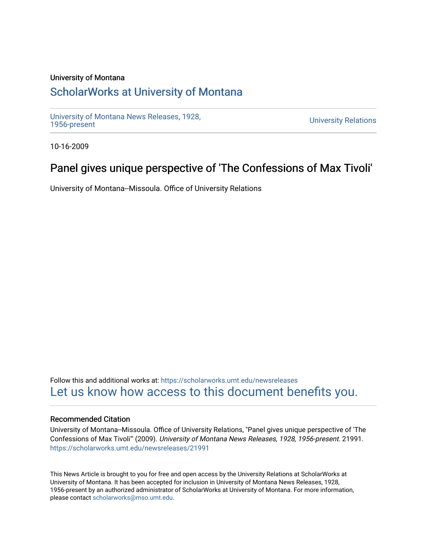### University of Montana

## [ScholarWorks at University of Montana](https://scholarworks.umt.edu/)

[University of Montana News Releases, 1928,](https://scholarworks.umt.edu/newsreleases) 

**University Relations** 

10-16-2009

# Panel gives unique perspective of 'The Confessions of Max Tivoli'

University of Montana--Missoula. Office of University Relations

Follow this and additional works at: [https://scholarworks.umt.edu/newsreleases](https://scholarworks.umt.edu/newsreleases?utm_source=scholarworks.umt.edu%2Fnewsreleases%2F21991&utm_medium=PDF&utm_campaign=PDFCoverPages) [Let us know how access to this document benefits you.](https://goo.gl/forms/s2rGfXOLzz71qgsB2) 

#### Recommended Citation

University of Montana--Missoula. Office of University Relations, "Panel gives unique perspective of 'The Confessions of Max Tivoli'" (2009). University of Montana News Releases, 1928, 1956-present. 21991. [https://scholarworks.umt.edu/newsreleases/21991](https://scholarworks.umt.edu/newsreleases/21991?utm_source=scholarworks.umt.edu%2Fnewsreleases%2F21991&utm_medium=PDF&utm_campaign=PDFCoverPages) 

This News Article is brought to you for free and open access by the University Relations at ScholarWorks at University of Montana. It has been accepted for inclusion in University of Montana News Releases, 1928, 1956-present by an authorized administrator of ScholarWorks at University of Montana. For more information, please contact [scholarworks@mso.umt.edu.](mailto:scholarworks@mso.umt.edu)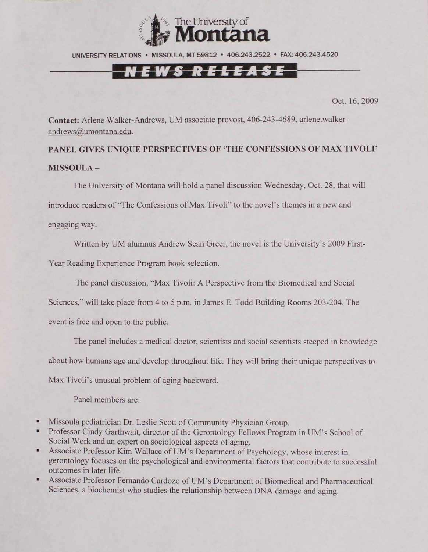

UNIVERSITY RELATIONS • MISSOULA. MT 59812 • 406.243.2522 • FAX: 406.243.4520

### <u>NEWS RELEASE</u>

Oct. 16. 2009

**Contact:** Arlene Walker-Andrews, UM associate provost, 406-243-4689, [arlene.walker](mailto:arlene.walker-andrews@umontana.edu)[andrews@umontana.edu.](mailto:arlene.walker-andrews@umontana.edu)

**PANEL GIVES UNIQUE PERSPECTIVES OF 'THE CONFESSIONS OF MAX TIVOLI' MISSOULA -**

The University of Montana will hold a panel discussion Wednesday, Oct. 28. that will introduce readers of "The Confessions of Max Tivoli" to the novel's themes in a new and engaging way.

Written by UM alumnus Andrew Sean Greer, the novel is the University's 2009 First-Year Reading Experience Program book selection.

The panel discussion, "Max Tivoli: A Perspective from the Biomedical and Social

Sciences," will take place from 4 to 5 p.m. in James E. Todd Building Rooms 203-204. The

event is free and open to the public.

The panel includes a medical doctor, scientists and social scientists steeped in knowledge about how humans age and develop throughout life. They will bring their unique perspectives to Max Tivoli's unusual problem of aging backward.

Panel members are:

- Missoula pediatrician Dr. Leslie Scott of Community Physician Group.
- ×. Professor Cindy Garthwait, director of the Gerontology Fellows Program in UM's School of Social Work and an expert on sociological aspects of aging.
- ×. Associate Professor Kim Wallace of UM's Department of Psychology, whose interest in gerontology focuses on the psychological and environmental factors that contribute to successful outcomes in later life.
- ٠. Associate Professor Fernando Cardozo of UM's Department of Biomedical and Pharmaceutical Sciences, a biochemist who studies the relationship between DNA damage and aging.